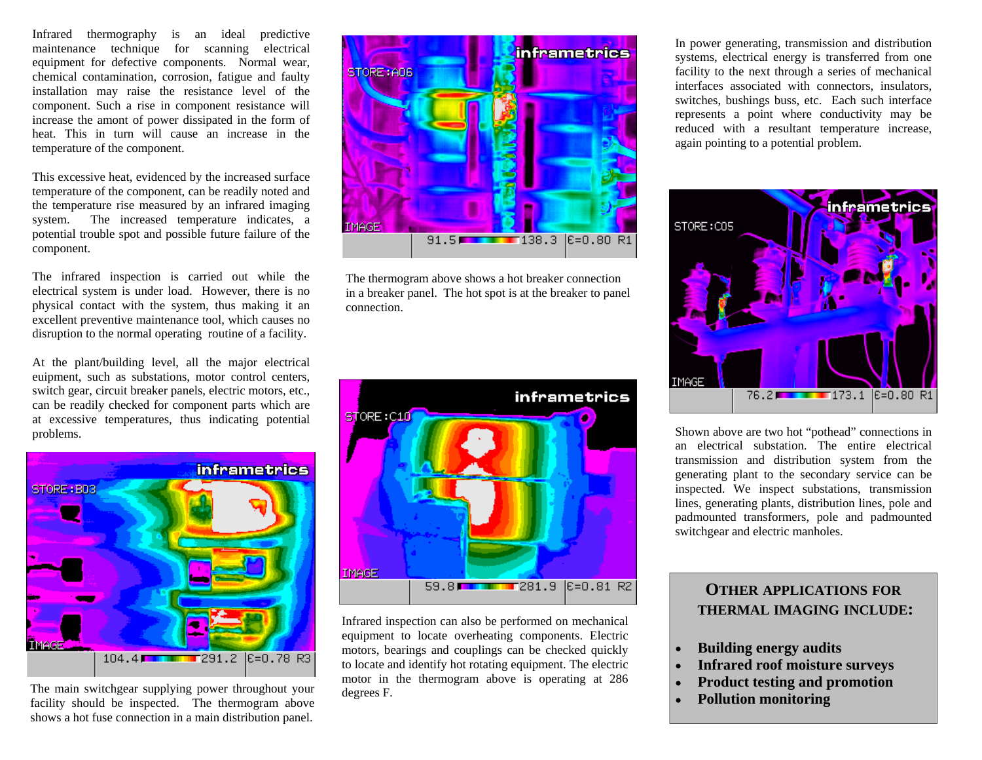Infrared thermography is an ideal predictive maintenance technique for scanning electrical equipment for defective components. Normal wear, chemical contamination, corrosion, fatigue and faulty installation may raise the resistance level of the component. Such a rise in component resistance will increase the amont of power dissipated in the form of heat. This in turn will cause an increase in the temperature of the component.

This excessive heat, evidenced by the increased surface temperature of the component, can be readily noted and the temperature rise measured by an infrared imaging system. The increased temperature indicates, a potential trouble spot and possible future failure of the component.

The infrared inspection is carried out while the electrical system is under load. However, there is no physical contact with the system, thus making it an excellent preventive maintenance tool, which causes no disruption to the normal operating routine of a facility.

At the plant/building level, all the major electrical euipment, such as substations, motor control centers, switch gear, circuit breaker panels, electric motors, etc., can be readily checked for component parts which are at excessive temperatures, thus indicating potential problems.



The main switchgear supplying power throughout your facility should be inspected. The thermogram above shows a hot fuse connection in a main distribution panel.



The thermogram above shows a hot breaker connection in a breaker panel. The hot spot is at the breaker to panel connection.



Infrared inspection can also be performed on mechanical equipment to locate overheating components. Electric motors, bearings and couplings can be checked quickly to locate and identify hot rotating equipment. The electric motor in the thermogram above is operating at 286 degrees F.

In power generating, transmission and distribution systems, electrical energy is transferred from one facility to the next through a series of mechanical interfaces associated with connectors, insulators, switches, bushings buss, etc. Each such interface represents a point where conductivity may be reduced with a resultant temperature increase, again pointing to a potential problem.



Shown above are two hot "pothead" connections in an electrical substation. The entire electrical transmission and distribution system from the generating plant to the secondary service can be inspected. We inspect substations, transmission lines, generating plants, distribution lines, pole and padmounted transformers, pole and padmounted switchgear and electric manholes.

## **OTHER APPLICATIONS FOR THERMAL IMAGING INCLUDE:**

- **Building energy audits**
- **Infrared roof moisture surveys**
- **Product testing and promotion**
- **Pollution monitoring**